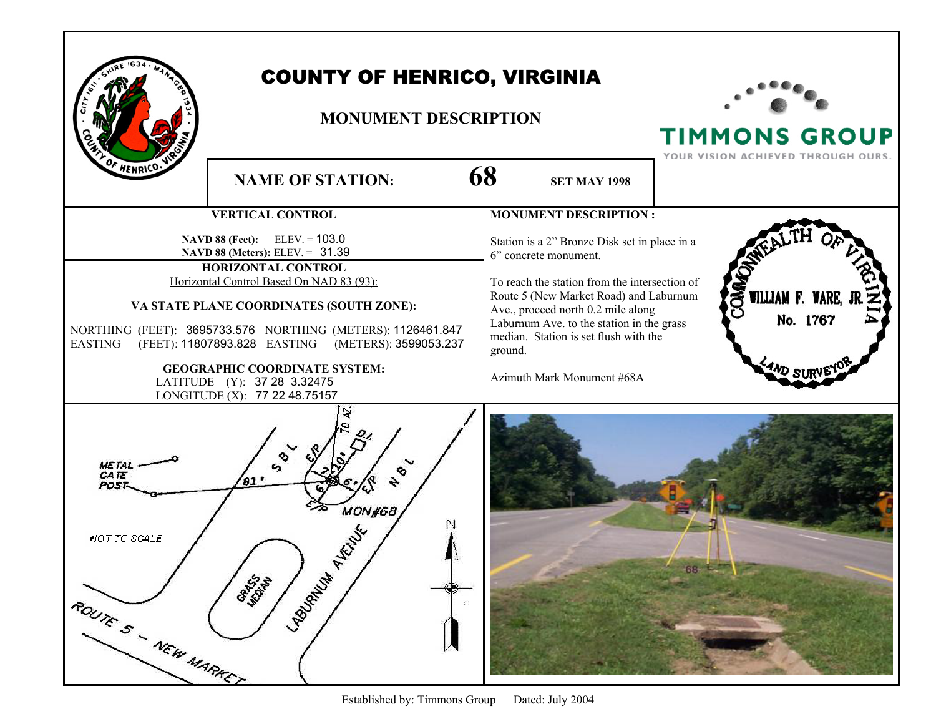|                                                                             | <b>COUNTY OF HENRICO, VIRGINIA</b><br><b>MONUMENT DESCRIPTION</b>                                                                                                                                                                                                                                                                                                                                                         |                                                                                                                                                                                                                                                                                                                                        | <b>TIMMONS GROUP</b><br>YOUR VISION ACHIEVED THROUGH OURS. |
|-----------------------------------------------------------------------------|---------------------------------------------------------------------------------------------------------------------------------------------------------------------------------------------------------------------------------------------------------------------------------------------------------------------------------------------------------------------------------------------------------------------------|----------------------------------------------------------------------------------------------------------------------------------------------------------------------------------------------------------------------------------------------------------------------------------------------------------------------------------------|------------------------------------------------------------|
| HENRICO:                                                                    | <b>NAME OF STATION:</b>                                                                                                                                                                                                                                                                                                                                                                                                   | 68<br><b>SET MAY 1998</b>                                                                                                                                                                                                                                                                                                              |                                                            |
|                                                                             | <b>VERTICAL CONTROL</b>                                                                                                                                                                                                                                                                                                                                                                                                   | <b>MONUMENT DESCRIPTION:</b>                                                                                                                                                                                                                                                                                                           |                                                            |
| <b>EASTING</b>                                                              | $ELEV = 103.0$<br><b>NAVD 88 (Feet):</b><br>NAVD 88 (Meters): ELEV. = 31.39<br>HORIZONTAL CONTROL<br>Horizontal Control Based On NAD 83 (93):<br>VA STATE PLANE COORDINATES (SOUTH ZONE):<br>NORTHING (FEET): 3695733.576 NORTHING (METERS): 1126461.847<br>(FEET): 11807893.828 EASTING<br>(METERS): 3599053.237<br><b>GEOGRAPHIC COORDINATE SYSTEM:</b><br>LATITUDE (Y): 37 28 3.32475<br>LONGITUDE (X): 77 22 48.75157 | Station is a 2" Bronze Disk set in place in a<br>6" concrete monument.<br>To reach the station from the intersection of<br>Route 5 (New Market Road) and Laburnum<br>Ave., proceed north 0.2 mile along<br>Laburnum Ave. to the station in the grass<br>median. Station is set flush with the<br>ground.<br>Azimuth Mark Monument #68A | S<br>WILLIAM F. WARE,<br>No. 1767                          |
| <b>METAL</b><br><b>GATE</b><br>POS1<br>NOT TO SCALE<br>ROUTE S - NEW MARKET | $\mathfrak{s}$<br>ัด1 '<br><b>MON#68</b><br><b>YOU AREN'T</b><br>GRANTS                                                                                                                                                                                                                                                                                                                                                   |                                                                                                                                                                                                                                                                                                                                        | 68.                                                        |